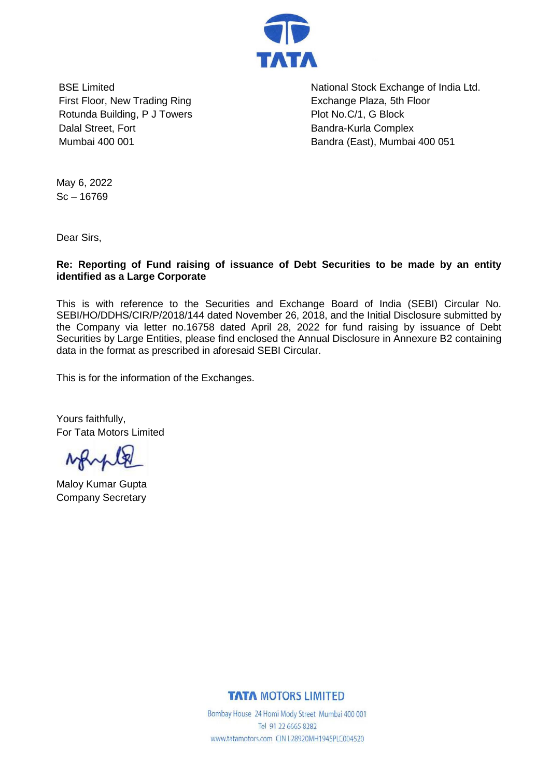

BSE Limited First Floor, New Trading Ring Rotunda Building, P J Towers Dalal Street, Fort Mumbai 400 001

National Stock Exchange of India Ltd. Exchange Plaza, 5th Floor Plot No.C/1, G Block Bandra-Kurla Complex Bandra (East), Mumbai 400 051

May 6, 2022  $Sc - 16769$ 

Dear Sirs,

**Re: Reporting of Fund raising of issuance of Debt Securities to be made by an entity identified as a Large Corporate**

This is with reference to the Securities and Exchange Board of India (SEBI) Circular No. SEBI/HO/DDHS/CIR/P/2018/144 dated November 26, 2018, and the Initial Disclosure submitted by the Company via letter no.16758 dated April 28, 2022 for fund raising by issuance of Debt Securities by Large Entities, please find enclosed the Annual Disclosure in Annexure B2 containing data in the format as prescribed in aforesaid SEBI Circular.

This is for the information of the Exchanges.

Yours faithfully, For Tata Motors Limited

Maloy Kumar Gupta Company Secretary

## **TATA MOTORS LIMITED**

Bombay House 24 Homi Mody Street Mumbai 400 001 Tel 91 22 6665 8282 www.tatamotors.com CIN L28920MH1945PLC004520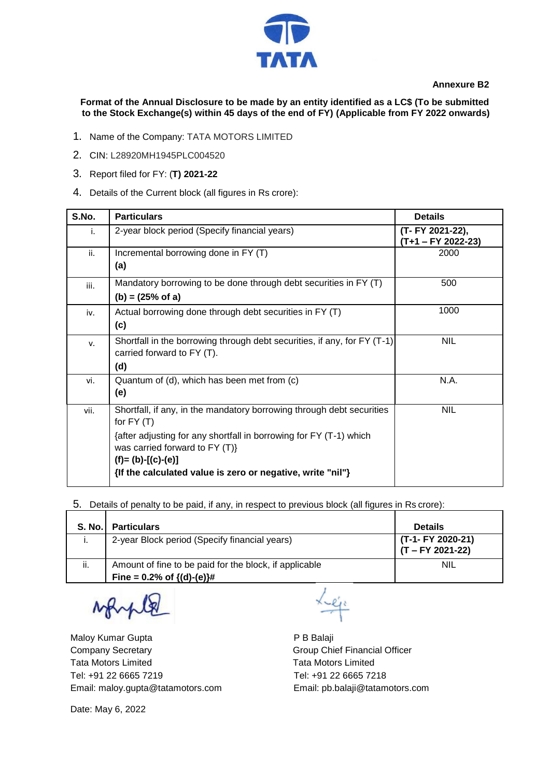

 **Annexure B2**

**Format of the Annual Disclosure to be made by an entity identified as a LC\$ (To be submitted to the Stock Exchange(s) within 45 days of the end of FY) (Applicable from FY 2022 onwards)**

- 1. Name of the Company: TATA MOTORS LIMITED
- 2. CIN: L28920MH1945PLC004520
- 3. Report filed for FY: (**T) 2021-22**
- 4. Details of the Current block (all figures in Rs crore):

| S.No. | <b>Particulars</b>                                                                                                                                                                                                  | <b>Details</b>                         |
|-------|---------------------------------------------------------------------------------------------------------------------------------------------------------------------------------------------------------------------|----------------------------------------|
| i.    | 2-year block period (Specify financial years)                                                                                                                                                                       | (T- FY 2021-22),<br>(T+1 – FY 2022-23) |
| ii.   | Incremental borrowing done in FY (T)<br>(a)                                                                                                                                                                         | 2000                                   |
| iii.  | Mandatory borrowing to be done through debt securities in FY (T)<br>$(b) = (25% \text{ of a})$                                                                                                                      | 500                                    |
| iv.   | Actual borrowing done through debt securities in FY (T)<br>(c)                                                                                                                                                      | 1000                                   |
| v.    | Shortfall in the borrowing through debt securities, if any, for FY (T-1)<br>carried forward to FY (T).<br>(d)                                                                                                       | <b>NIL</b>                             |
| vi.   | Quantum of (d), which has been met from (c)<br>(e)                                                                                                                                                                  | N.A.                                   |
| vii.  | Shortfall, if any, in the mandatory borrowing through debt securities<br>for $FY(T)$<br>{after adjusting for any shortfall in borrowing for FY (T-1) which<br>was carried forward to FY (T)}<br>$(f)=(b)-[(c)-(e)]$ | <b>NIL</b>                             |
|       | {If the calculated value is zero or negative, write "nil"}                                                                                                                                                          |                                        |

5. Details of penalty to be paid, if any, in respect to previous block (all figures in Rs crore):

| <b>S. No.</b> | <b>Particulars</b>                                                                     | <b>Details</b>                          |
|---------------|----------------------------------------------------------------------------------------|-----------------------------------------|
|               | 2-year Block period (Specify financial years)                                          | (T-1- FY 2020-21)<br>$(T - FY 2021-22)$ |
| ii.           | Amount of fine to be paid for the block, if applicable<br>Fine = $0.2\%$ of {(d)-(e)}# | <b>NIL</b>                              |

Maloy Kumar Gupta **P B Balaji** Company Secretary **Group Chief Financial Officer** Group Chief Financial Officer Tata Motors Limited Tata Motors Limited Tel: +91 22 6665 7219 Tel: +91 22 6665 7218 Email: maloy.gupta@tatamotors.com Email: pb.balaji@tatamotors.com

Leje

Date: May 6, 2022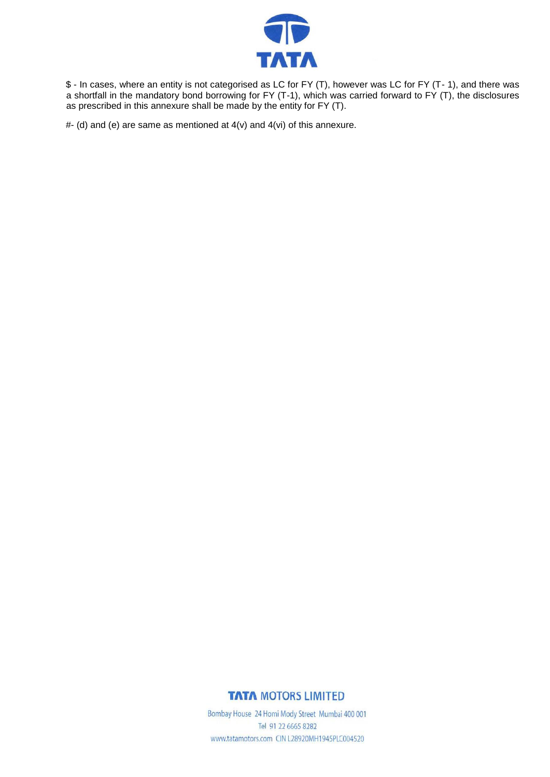

\$ - In cases, where an entity is not categorised as LC for FY (T), however was LC for FY (T- 1), and there was a shortfall in the mandatory bond borrowing for FY (T-1), which was carried forward to FY (T), the disclosures as prescribed in this annexure shall be made by the entity for FY (T).

 $#$ - (d) and (e) are same as mentioned at  $4(v)$  and  $4(vi)$  of this annexure.

## **TATA MOTORS LIMITED**

Bombay House 24 Homi Mody Street Mumbai 400 001 Tel 91 22 6665 8282 www.tatamotors.com CIN L28920MH1945PLC004520